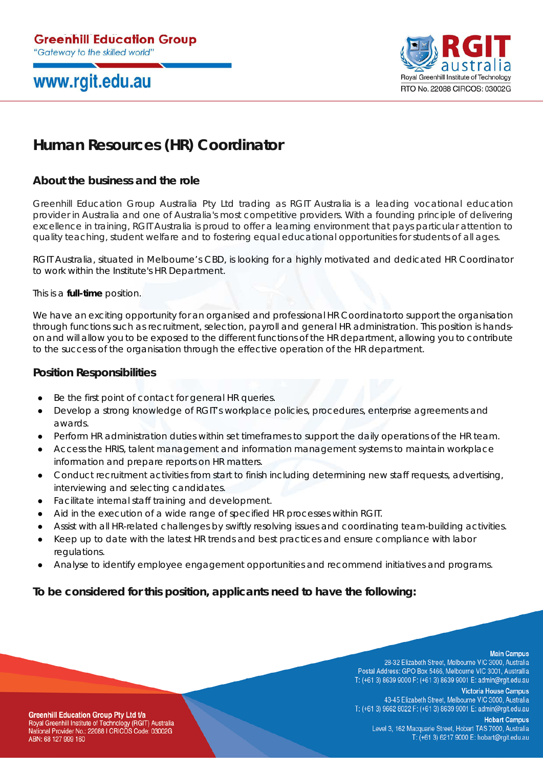# www.rgit.edu.au



## **Human Resources (HR) Coordinator**

### **About the business and the role**

Greenhill Education Group Australia Pty Ltd trading as RGIT Australia is a leading vocational education provider in Australia and one of Australia's most competitive providers. With a founding principle of delivering excellence in training, RGIT Australia is proud to offer a learning environment that pays particular attention to quality teaching, student welfare and to fostering equal educational opportunities for students of all ages.

RGIT Australia, situated in Melbourne's CBD, is looking for a highly motivated and dedicated HR Coordinator to work within the Institute's HR Department.

This is a **full-time** position.

We have an exciting opportunity for an organised and professional HR Coordinatorto support the organisation through functions such as recruitment, selection, payroll and general HR administration. This position is handson and will allow you to be exposed to the different functions of the HR department, allowing you to contribute to the success of the organisation through the effective operation of the HR department.

#### **Position Responsibilities**

- Be the first point of contact for general HR queries.
- Develop a strong knowledge of RGIT's workplace policies, procedures, enterprise agreements and awards.
- Perform HR administration duties within set timeframes to support the daily operations of the HR team.
- Access the HRIS, talent management and information management systems to maintain workplace information and prepare reports on HR matters.
- Conduct recruitment activities from start to finish including determining new staff requests, advertising, interviewing and selecting candidates.
- Facilitate internal staff training and development.
- Aid in the execution of a wide range of specified HR processes within RGIT.
- Assist with all HR-related challenges by swiftly resolving issues and coordinating team-building activities.
- Keep up to date with the latest HR trends and best practices and ensure compliance with labor regulations.
- Analyse to identify employee engagement opportunities and recommend initiatives and programs.

#### **To be considered for this position, applicants need to have the following:**

#### **Main Campus**

28-32 Elizabeth Street, Melbourne VIC 3000, Australia Postal Address: GPO Box 5466, Melbourne VIC 3001, Australlia T: (+61 3) 8639 9000 F: (+61 3) 8639 9001 E: admin@rgit.edu.au

**Victoria House Campus** 43-45 Elizabeth Street, Melbourne VIC 3000, Australia T: (+61 3) 9662 8022 F: (+61 3) 8639 9001 E: admin@rgit.edu.au

**Greenhill Education Group Pty Ltd t/a** Royal Greenhill Institute of Technology (RGIT) Australia National Provider No.: 22088 I CRICOS Code: 03002G ABN: 68 127 999 160

**Hobart Campus** Level 3, 162 Macquarie Street, Hobart TAS 7000, Australia T: (+61 3) 6217 9000 E: hobart@rgit.edu.au